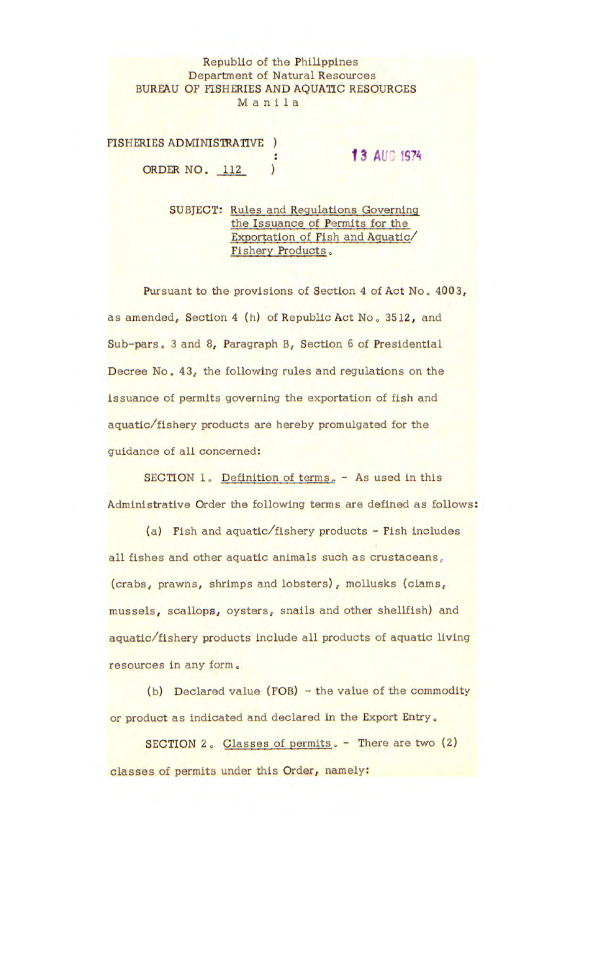## Republic of the Philippines Department of Natural Resources BUREAU OF FISHERIES AND AQUATIC RESOURCES Manila

FISHERIES ADMINISTRATIVE ORDER NO. 112 )

## **13 AUG 1974**

SUBJECT: Rules and Regulations Governing the Issuance of Permits for the Exportation of Fish and Aquatic/ Fishery Products

Pursuant to the provisions of Section 4 of Act No. 4003, as amended, Section 4 (h) of Republic Act No. 3512, and Sub-pars. 3 and 8, Paragraph B. Section 6 of Presidential Decree No. 43, the following rules and regulations on the issuance of permits governing the exportation of fish and aquatic/fishery products are hereby promulgated for the guidance of all concerned:

SECTION 1. Definition of terms. - As used in this Administrative Order the following terms are defined as follows:

(a) Fish and aquatic/fishery products - Fish includes all fishes and other aquatic animals such as crustaceans, (crabs, prawns, shrimps and lobsters), mollusks (clams, mussels, scallops, oysters, snails and other shellfish) and aquatic/fishery products include all products of aquatic living resources in any form.

(b) Declared value (FOB) - the value of the commodity or product as indicated and declared in the Export Entry.

SECTION 2. Classes of permits. - There are two (2) classes of permits under this Order, namely: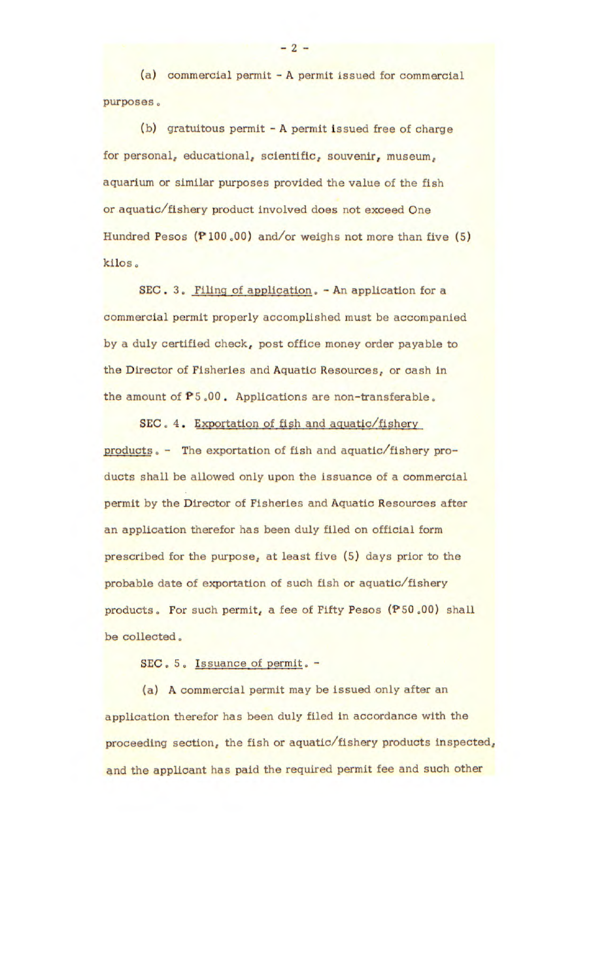(a) commercial permit - A permit issued for commercial purposes.

(b) gratuitous permit - A permit issued free of charge for personal, educational, scientific, souvenir, museum, aquarium or similar purposes provided the value of the fish or aquatic/fishery product involved does not exceed One Hundred Pesos  $(P100.00)$  and/or weighs not more than five (5) kilos

SEC. 3. Filing of application. - An application for a commercial permit properly accomplished must be accompanied by a duly certified check, post office money order payable to the Director of Fisheries and Aquatic Resources, or cash in the amount of P5.00. Applications are non-transferable.

SEC. 4. Exportation of fish and aQuatic/fishery products. - The exportation of fish and aquatic/fishery products shall be allowed only upon the issuance of a commercial permit by the Director of Fisheries and Aquatic Resources after an application therefor has been duly filed on official form prescribed for the purpose, at least five (5) days prior to the probable date of exportation of such fish or aquatic/fishery products. For such permit, a fee of Fifty Pesos (P50 .00) shall be collected.

SEC. 5. Issuance of permit. -

(a) A commercial permit may be issued only after an application therefor has been duly filed in accordance with the proceeding section, the fish or aquatic/fishery products Inspected, and the applicant has paid the required permit fee and such other

-2-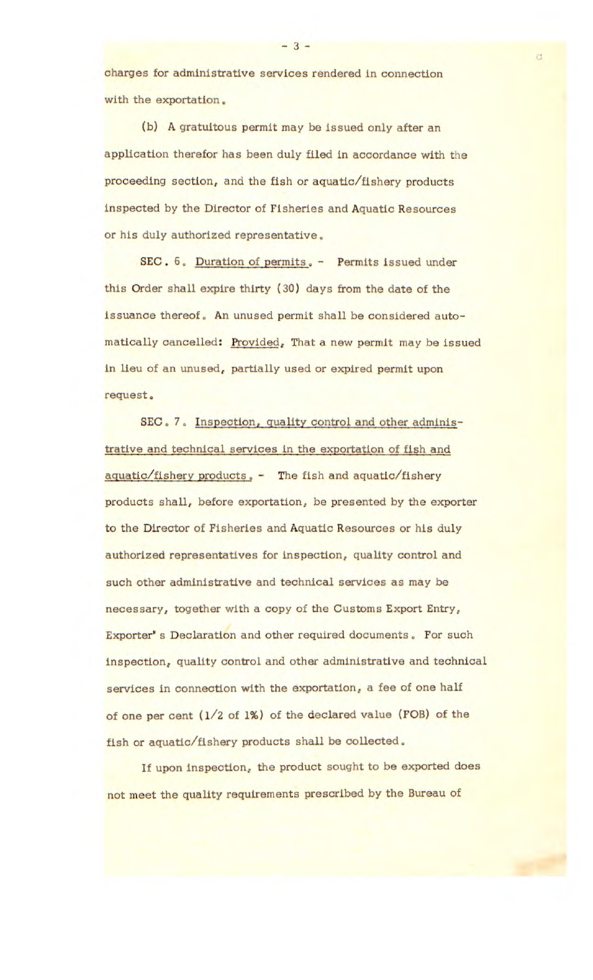charges for administrative services rendered in connection with the exportation.

(b) A gratuitous permit may be Issued only after an application therefor has been duly filed in accordance with the proceeding section, and the fish or aquatic/fishery products Inspected by the Director of Fisheries and Aquatic Resources or his duly authorized representative,

SEC. 6. Duration of permits. - Permits issued under this Order shall expire thirty (30) days from the date of the issuance thereof. An unused permit shall be considered automatically cancelled: Provided, That a new permit may be issued in lieu of an unused, partially used or expired permit upon request.

SEC. 7. Inspection, quality control and other administrative and technical services in the exportation of fish and aquatic/fishery products. - The fish and aquatic/fishery products shall, before exportation, be presented by the exporter to the Director of Fisheries and Aquatic Resources or his duly authorized representatives for inspection, quality control and such other administrative and technical services as may be necessary, together with a copy of the Customs Export Entry, Exporter's Declaration and other required documents. For such inspection, quality control and other administrative and technical services in connection with the exportation, a fee of one half of one per cent (1/2 of 1%) of the declared value (FOB) of the fish or aquatic/fishery products shall be collected.

If upon inspection, the product sought to be exported does not meet the quality requirements prescribed by the Bureau of

 $-3.$